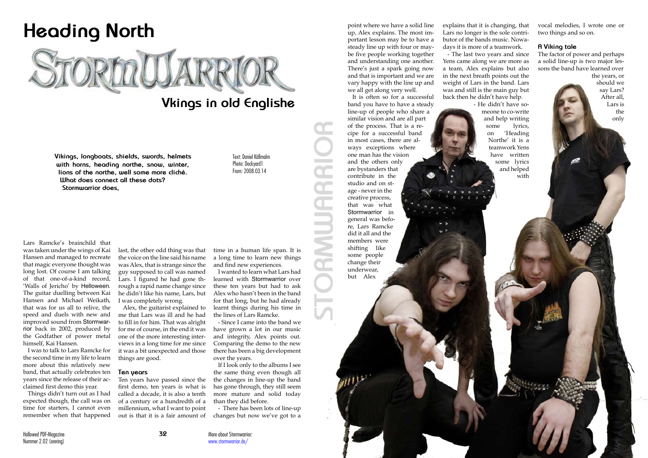Nummer 2.02 (orering)

Lars Ramcke's brainchild that was taken under the wings of Kai Hansen and managed to recreate that magic everyone thought was long lost. Of course I am talking of that one-of-a-kind record, 'Walls of Jericho' by Helloween. The guitar duelling between Kai Hansen and Michael Weikath, that was for us all to relive, the speed and duels with new and improved sound from Stormwarrior back in 2002, produced by the Godfather of power metal himself, Kai Hansen.

I was to talk to Lars Ramcke for the second time in my life to learn more about this relatively new band, that actually celebrates ten years since the release of their acclaimed first demo this year.

Things didn't turn out as I had expected though, the call was on time for starters, I cannot even remember when that happened



# **Vkings in old Englishe**

last, the other odd thing was that the voice on the line said his name was Alex, that is strange since the guy supposed to call was named Lars. I figured he had gone through a rapid name change since he didn't like his name, Lars, but I was completely wrong.

Alex, the guitarist explained to me that Lars was ill and he had to fill in for him. That was alright for me of course, in the end it was one of the more interesting interviews in a long time for me since it was a bit unexpected and those things are good.

#### **Ten years**

Ten years have passed since the first demo, ten years is what is called a decade, it is also a tenth of a century or a hundredth of a millennium, what I want to point out is that it is a fair amount of time in a human life span. It is a long time to learn new things and find new experiences.

I wanted to learn what Lars had learned with Stormwarrior over these ten years but had to ask Alex who hasn't been in the band for that long, but he had already learnt things during his time in the lines of Lars Ramcke.

- Since I came into the band we have grown a lot in our music and integrity, Alex points out. Comparing the demo to the new there has been a big development over the years.

If I look only to the albums I see the same thing even though all the changes in line-up the band has gone through, they still seem more mature and solid today than they did before.

- There has been lots of line-up changes but now we've got to a

**Vikings, longboats, shields, swords, helmets with horns, heading northe, snow, winter, lions of the northe, well some more cliché. What does connect all these dots? Stormwarrior does,**

Text: Daniel Källmalm Photo: Dockyard1 From: 2008.03.14

point where we have a solid line up, Alex explains. The most important lesson may be to have a steady line up with four or maybe five people working together and understanding one another. There's just a spark going now and that is important and we are vary happy with the line up and we all get along very well.

It is often so for a successful band you have to have a steady line-up of people who share a similar vision and are all part of the process. That is a recipe for a successful band in most cases, there are always exceptions where one man has the vision and the others only are bystanders that contribute in the studio and on stage - never in the creative process, that was what Stormwarrior in general was before, Lars Ramcke did it all and the members were shifting like some people change their underwear, but Alex

explains that it is changing, that Lars no longer is the sole contributor of the bands music. Nowadays it is more of a teamwork.

- The last two years and since Yens came along we are more as a team, Alex explains but also in the next breath points out the weight of Lars in the band. Lars was and still is the main guy but back then he didn't have help.

- He didn't have someone to co-write and help writing some lyrics, on 'Heading Northe' it is a teamwork Yens have written some lyrics and helped with vocal melodies, I wrote one or two things and so on.

### **A Viking tale**

**33 Hallowed PDF-Magazine PDF-Magazine PDF-Magazine PDF-Magazine PDF-Magazine PDF-Magazine PDF-Magazine PDF-Magazine PDF-Magazine PDF-Magazine PDF-Magazine PDF-Magazine PDF-Magazine PDF-Magazine PDF-Magazine PDF-Magazine P** 

The factor of power and perhaps a solid line-up is two major lessons the band have learned over

the years, or should we say Lars? After all, Lars is the only

**STORMWARRIOR**

E

More about Stormwarrior: www.stormwarrior.de/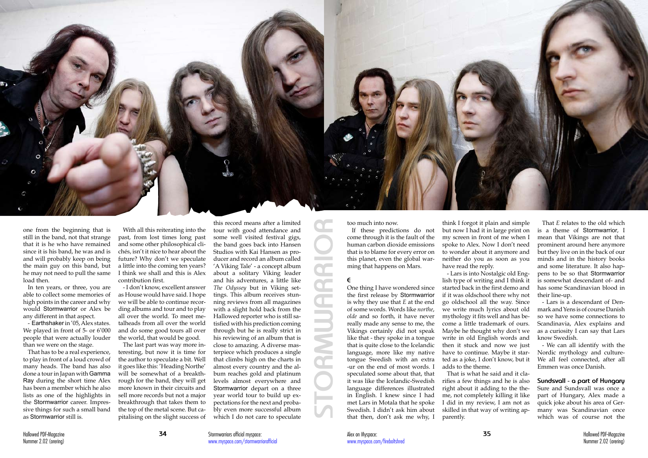

one from the beginning that is still in the band, not that strange that it is he who have remained since it is his band, he was and is and will probably keep on being the main guy on this band, but he may not need to pull the same load then.

In ten years, or three, you are able to collect some memories of high points in the career and why would Stormwarrior or Alex be any different in that aspect.

- Earthshaker in '05, Alex states. We played in front of 5- or 6'000 people that were actually louder than we were on the stage.

That has to be a real experience, to play in front of a loud crowd of many heads. The band has also done a tour in Japan with Gamma Ray during the short time Alex has been a member which he also lists as one of the highlights in the Stormwarrior career. Impressive things for such a small band as Stormwarrior still is.

With all this reiterating into the past, from lost times long past and some other philosophical clichés, isn't it nice to hear about the future? Why don't we speculate a little into the coming ten years? I think we shall and this is Alex contribution first.

- I don't know, excellent answer as House would have said. I hope we will be able to continue recording albums and tour and to play all over the world. To meet metalheads from all over the world and do some good tours all over the world, that would be good.

The last part was way more interesting, but now it is time for the author to speculate a bit. Well it goes like this: 'Heading Northe' will be somewhat of a breakthrough for the band, they will get more known in their circuits and sell more records but not a major breakthrough that takes them to the top of the metal scene. But capitalising on the slight success of

this record means after a limited tour with good attendance and some well visited festival gigs, the band goes back into Hansen Studios with Kai Hansen as producer and record an album called 'A Viking Tale' - a concept album about a solitary Viking leader and his adventures, a little like *The Odyssey* but in Viking settings. This album receives stunning reviews from all magazines with a slight hold back from the Hallowed reporter who is still satisfied with his prediction coming through but he is really strict in his reviewing of an album that is close to amazing. A diverse masterpiece which produces a single that climbs high on the charts in almost every country and the album reaches gold and platinum levels almost everywhere and Stormwarrior depart on a three year world tour to build up expectations for the next and probably even more successful album which I do not care to speculate

too much into now.

If these predictions do not come through it is the fault of the human carbon dioxide emissions that is to blame for every error on this planet, even the global warming that happens on Mars.

#### **E**

One thing I have wondered since the first release by Stormwarrior is why they use that *E* at the end of some words. Words like *northe*, *olde* and so forth, it have never really made any sense to me, the Vikings certainly did not speak like that - they spoke in a tongue that is quite close to the Icelandic language, more like my native tongue Swedish with an extra -ur on the end of most words. I speculated some about that, that it was like the Icelandic-Swedish language differences illustrated in English. I knew since I had met Lars in Motala that he spoke Swedish. I didn't ask him about that then, don't ask me why, I

think I forgot it plain and simple but now I had it in large print on my screen in front of me when I spoke to Alex. Now I don't need to wonder about it anymore and neither do you as soon as you have read the reply.

- Lars is into Nostalgic old English type of writing and I think it started back in the first demo and if it was oldschool there why not go oldschool all the way. Since we write much lyrics about old mythology it fits well and has become a little trademark of ours. Maybe he thought why don't we write in old English words and then it stuck and now we just have to continue. Maybe it started as a joke, I don't know, but it adds to the theme.

That is what he said and it clarifies a few things and he is also right about it adding to the theme, not completely killing it like I did in my review, I am not as skilled in that way of writing apparently.

That *E* relates to the old which is a theme of Stormwarrior, I mean that Vikings are not that prominent around here anymore but they live on in the back of our minds and in the history books and some literature. It also happens to be so that Stormwarrior is somewhat descendant of- and has some Scandinavian blood in their line-up.

- Lars is a descendant of Denmark and Yens is of course Danish so we have some connections to Scandinavia, Alex explains and as a curiosity I can say that Lars know Swedish.

- We can all identify with the Nordic mythology and culture-We all feel connected, after all Emmen was once Danish.

**Sundsvall - a part of Hungary** Sure and Sundsvall was once a part of Hungary, Alex made a quick joke about his area of Germany was Scandinavian once which was of course not the

**STORMWARRIOR**

 $\mathcal{L}^{\text{max}}_{\text{max}}$ 

 $\bullet$ 

 $\mathbb{L}$ **The Co** 

Stormwarriors official myspace: www.myspace.com/stormwarriorofficial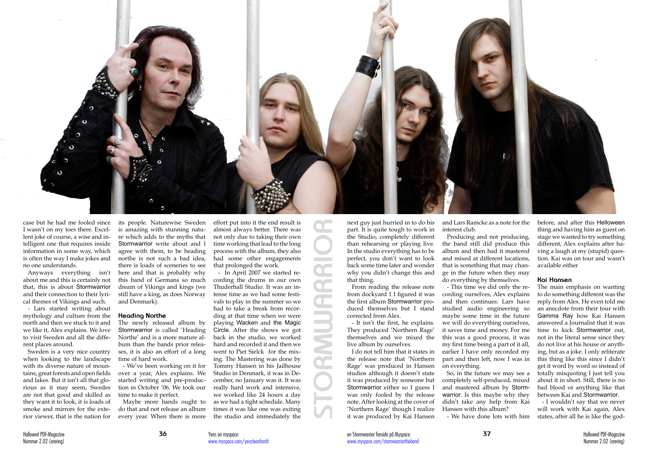case but he had me fooled since I wasn't on my toes there. Excellent joke of course, a wise and intelligent one that requires inside information in some way, which is often the way I make jokes and no one understands.

Anyways everything isn't about me and this is certainly not that, this is about Stormwarrior and their connection to their lyrical themes of Vikings and such.

- Lars started writing about mythology and culture from the north and then we stuck to it and we like it, Alex explains. We love to visit Sweden and all the different places around.

Sweden is a very nice country when looking to the landscape with its diverse nature of mountains, great forests and open fields and lakes. But it isn't all that glorious as it may seem, Swedes are not that good and skilled as they want it to look, it is loads of smoke and mirrors for the exterior viewer, that is the nation for its people. Naturewise Sweden is amazing with stunning nature which adds to the myths that Stormwarrior write about and I agree with them, to be heading northe is not such a bad idea, there is loads of sceneries to see here and that is probably why this band of Germans so much dream of Vikings and kings (we still have a king, as does Norway and Denmark).

#### **Heading Northe**

The newly released album by Stormwarrior is called 'Heading Northe' and is a more mature album than the bands prior releases, it is also an effort of a long time of hard work.

- We've been working on it for over a year, Alex explains. We started writing and pre-production in October '06. We took our time to make it perfect.

Maybe more bands ought to do that and not release an album every year. When there is more

effort put into it the end result is almost always better. There was not only due to taking their own time working that lead to the long process with the album, they also had some other engagements that prolonged the work.

- In April 2007 we started recording the drums in our own Thuderhall Studio. It was an intense time as we had some festivals to play in the summer so we had to take a break from recording at that time when we were playing Wacken and the Magic Circle. After the shows we got back in the studio, we worked hard and recorded it and then we went to Piet Sielck for the mixing. The Mastering was done by Tommy Hansen in his Jailhouse Studio in Denmark, it was in December, no January was it. It was really hard work and intensive, we worked like 24 hours a day as we had a tight schedule. Many times it was like one was exiting the studio and immediately the

next guy just hurried in to do his part. It is quite tough to work in the Studio, completely different than rehearsing or playing live. In the studio everything has to be perfect, you don't want to look back some time later and wonder why you didn't change this and that thing.

From reading the release note from dockyard 1 I figured it was the first album Stormwarrior produced themselves but I stand studied audio engineering so corrected from Alex.

- It isn't the first, he explains. They produced 'Northern Rage' themselves and we mixed the live album by ourselves.

I do not tell him that it states in the release note that 'Northern Rage' was produced in Hansen studios although it doesn't state it was produced by someone but Stormwarrior either so I guess I was only fooled by the release note. After looking at the cover of 'Northern Rage' though I realize it was produced by Kai Hansen

and Lars Ramcke as a note for the interest club.

Producing and not producing, the band still did produce this album and then had it mastered and mixed at different locations, that is something that may change in the future when they may do everything by themselves.

- This time we did only the recording ourselves, Alex explains and then continues: Lars have maybe some time in the future we will do everything ourselves, it saves time and money. For me this was a good process, it was my first time being a part of it all, earlier I have only recorded my part and then left, now I was in on everything.

So, in the future we may see a completely self-produced, mixed and mastered album by Stormwarrior. Is this maybe why they didn't take any help from Kai Hansen with this album? - We have done lots with him before, and after this Helloween thing and having him as guest on stage we wanted to try something different, Alex explains after having a laugh at my (stupid) question. Kai was on tour and wasn't available either

## **Kai Hansen**

The main emphasis on wanting to do something different was the reply from Alex. He even told me an anecdote from their tour with Gamma Ray how Kai Hansen answered a Journalist that it was time to kick Stormwarrior out, not in the literal sense since they do not live at his house or anything, but as a joke. I only reliterate this thing like this since I didn't get it word by word so instead of totally misquoting I just tell you about it in short. Still, there is no bad blood or anything like that between Kai and Stormwarrior.

- I wouldn't say that we never will work with Kai again, Alex states, after all he is like the god-



**STORMWARRIOR**

E

 $\bullet$ 

**Contract** 

Œ

E **College College**